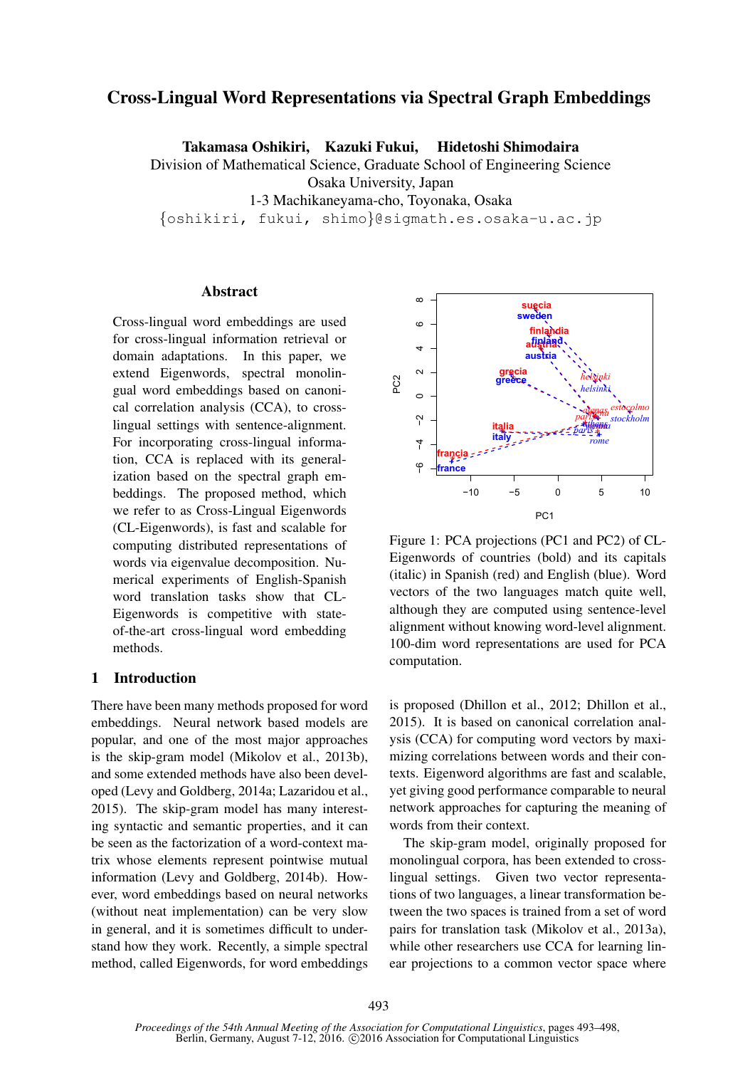# Cross-Lingual Word Representations via Spectral Graph Embeddings

Takamasa Oshikiri, Kazuki Fukui, Hidetoshi Shimodaira

Division of Mathematical Science, Graduate School of Engineering Science Osaka University, Japan

1-3 Machikaneyama-cho, Toyonaka, Osaka

{oshikiri, fukui, shimo}@sigmath.es.osaka-u.ac.jp

## Abstract

Cross-lingual word embeddings are used for cross-lingual information retrieval or domain adaptations. In this paper, we extend Eigenwords, spectral monolingual word embeddings based on canonical correlation analysis (CCA), to crosslingual settings with sentence-alignment. For incorporating cross-lingual information, CCA is replaced with its generalization based on the spectral graph embeddings. The proposed method, which we refer to as Cross-Lingual Eigenwords (CL-Eigenwords), is fast and scalable for computing distributed representations of words via eigenvalue decomposition. Numerical experiments of English-Spanish word translation tasks show that CL-Eigenwords is competitive with stateof-the-art cross-lingual word embedding methods.

## 1 Introduction

There have been many methods proposed for word embeddings. Neural network based models are popular, and one of the most major approaches is the skip-gram model (Mikolov et al., 2013b), and some extended methods have also been developed (Levy and Goldberg, 2014a; Lazaridou et al., 2015). The skip-gram model has many interesting syntactic and semantic properties, and it can be seen as the factorization of a word-context matrix whose elements represent pointwise mutual information (Levy and Goldberg, 2014b). However, word embeddings based on neural networks (without neat implementation) can be very slow in general, and it is sometimes difficult to understand how they work. Recently, a simple spectral method, called Eigenwords, for word embeddings



Figure 1: PCA projections (PC1 and PC2) of CL-Eigenwords of countries (bold) and its capitals (italic) in Spanish (red) and English (blue). Word vectors of the two languages match quite well, although they are computed using sentence-level alignment without knowing word-level alignment. 100-dim word representations are used for PCA computation.

is proposed (Dhillon et al., 2012; Dhillon et al., 2015). It is based on canonical correlation analysis (CCA) for computing word vectors by maximizing correlations between words and their contexts. Eigenword algorithms are fast and scalable, yet giving good performance comparable to neural network approaches for capturing the meaning of words from their context.

The skip-gram model, originally proposed for monolingual corpora, has been extended to crosslingual settings. Given two vector representations of two languages, a linear transformation between the two spaces is trained from a set of word pairs for translation task (Mikolov et al., 2013a), while other researchers use CCA for learning linear projections to a common vector space where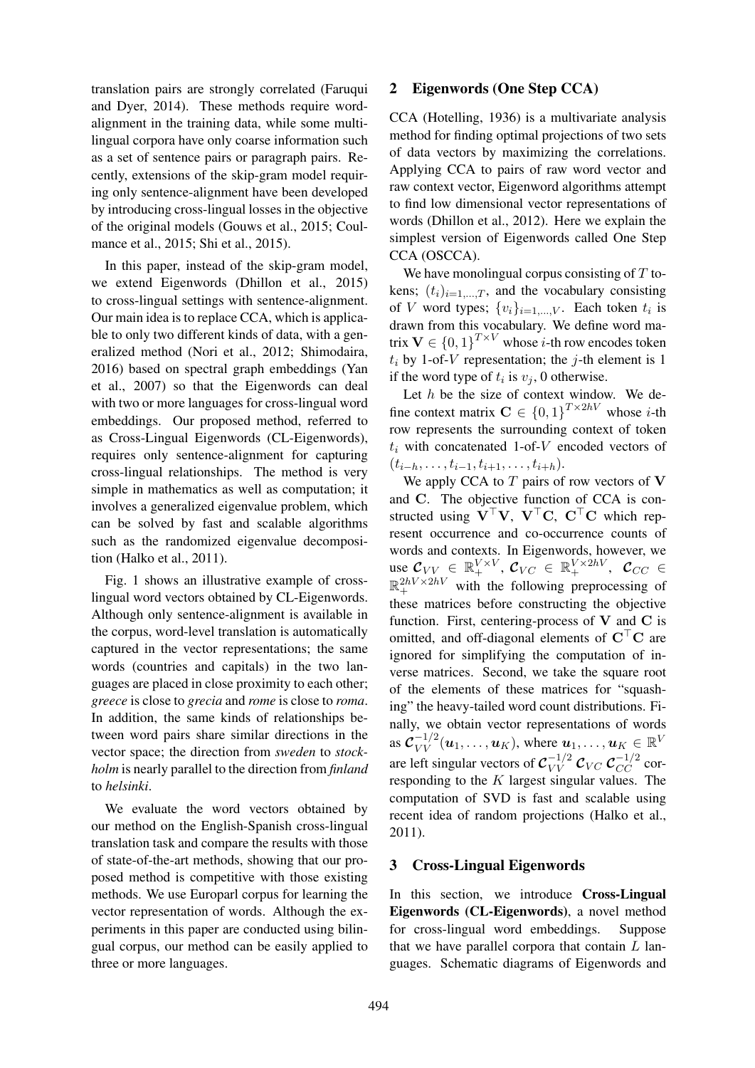translation pairs are strongly correlated (Faruqui and Dyer, 2014). These methods require wordalignment in the training data, while some multilingual corpora have only coarse information such as a set of sentence pairs or paragraph pairs. Recently, extensions of the skip-gram model requiring only sentence-alignment have been developed by introducing cross-lingual losses in the objective of the original models (Gouws et al., 2015; Coulmance et al., 2015; Shi et al., 2015).

In this paper, instead of the skip-gram model, we extend Eigenwords (Dhillon et al., 2015) to cross-lingual settings with sentence-alignment. Our main idea is to replace CCA, which is applicable to only two different kinds of data, with a generalized method (Nori et al., 2012; Shimodaira, 2016) based on spectral graph embeddings (Yan et al., 2007) so that the Eigenwords can deal with two or more languages for cross-lingual word embeddings. Our proposed method, referred to as Cross-Lingual Eigenwords (CL-Eigenwords), requires only sentence-alignment for capturing cross-lingual relationships. The method is very simple in mathematics as well as computation; it involves a generalized eigenvalue problem, which can be solved by fast and scalable algorithms such as the randomized eigenvalue decomposition (Halko et al., 2011).

Fig. 1 shows an illustrative example of crosslingual word vectors obtained by CL-Eigenwords. Although only sentence-alignment is available in the corpus, word-level translation is automatically captured in the vector representations; the same words (countries and capitals) in the two languages are placed in close proximity to each other; *greece* is close to *grecia* and *rome* is close to *roma*. In addition, the same kinds of relationships between word pairs share similar directions in the vector space; the direction from *sweden* to *stockholm* is nearly parallel to the direction from *finland* to *helsinki*.

We evaluate the word vectors obtained by our method on the English-Spanish cross-lingual translation task and compare the results with those of state-of-the-art methods, showing that our proposed method is competitive with those existing methods. We use Europarl corpus for learning the vector representation of words. Although the experiments in this paper are conducted using bilingual corpus, our method can be easily applied to three or more languages.

## 2 Eigenwords (One Step CCA)

CCA (Hotelling, 1936) is a multivariate analysis method for finding optimal projections of two sets of data vectors by maximizing the correlations. Applying CCA to pairs of raw word vector and raw context vector, Eigenword algorithms attempt to find low dimensional vector representations of words (Dhillon et al., 2012). Here we explain the simplest version of Eigenwords called One Step CCA (OSCCA).

We have monolingual corpus consisting of  $T$  tokens;  $(t_i)_{i=1,\dots,T}$ , and the vocabulary consisting of V word types;  $\{v_i\}_{i=1,\dots,V}$ . Each token  $t_i$  is drawn from this vocabulary. We define word matrix  $\mathbf{V} \in \{0,1\}^{T \times V}$  whose *i*-th row encodes token  $t_i$  by 1-of-V representation; the j-th element is 1 if the word type of  $t_i$  is  $v_j$ , 0 otherwise.

Let  $h$  be the size of context window. We define context matrix  $C \in \{0,1\}^{T \times 2hV}$  whose *i*-th row represents the surrounding context of token  $t_i$  with concatenated 1-of- $V$  encoded vectors of  $(t_{i-h}, \ldots, t_{i-1}, t_{i+1}, \ldots, t_{i+h}).$ 

We apply CCA to  $T$  pairs of row vectors of  $V$ and C. The objective function of CCA is constructed using  $V^{\top}V$ ,  $V^{\top}C$ ,  $C^{\top}C$  which represent occurrence and co-occurrence counts of words and contexts. In Eigenwords, however, we use  $\mathcal{C}_{VV} \in \mathbb{R}_{+}^{V \times V}, \, \mathcal{C}_{VC} \in \mathbb{R}_{+}^{V \times 2hV}, \, \mathcal{C}_{CC} \in$  $\mathbb{R}_+^{2hV\times2hV}$  with the following preprocessing of these matrices before constructing the objective function. First, centering-process of  $V$  and  $C$  is omitted, and off-diagonal elements of  $C<sup>T</sup>C$  are ignored for simplifying the computation of inverse matrices. Second, we take the square root of the elements of these matrices for "squashing" the heavy-tailed word count distributions. Finally, we obtain vector representations of words as  $\mathcal{C}_{VV}^{-1/2}(\boldsymbol{u}_1,\ldots,\boldsymbol{u}_K)$ , where  $\boldsymbol{u}_1,\ldots,\boldsymbol{u}_K\in\mathbb{R}^V$ are left singular vectors of  $c_{VV}^{-1/2}$   $c_{VC}$   $c_{CC}^{-1/2}$  corresponding to the  $K$  largest singular values. The computation of SVD is fast and scalable using recent idea of random projections (Halko et al., 2011).

## 3 Cross-Lingual Eigenwords

In this section, we introduce Cross-Lingual Eigenwords (CL-Eigenwords), a novel method for cross-lingual word embeddings. Suppose that we have parallel corpora that contain  $L$  languages. Schematic diagrams of Eigenwords and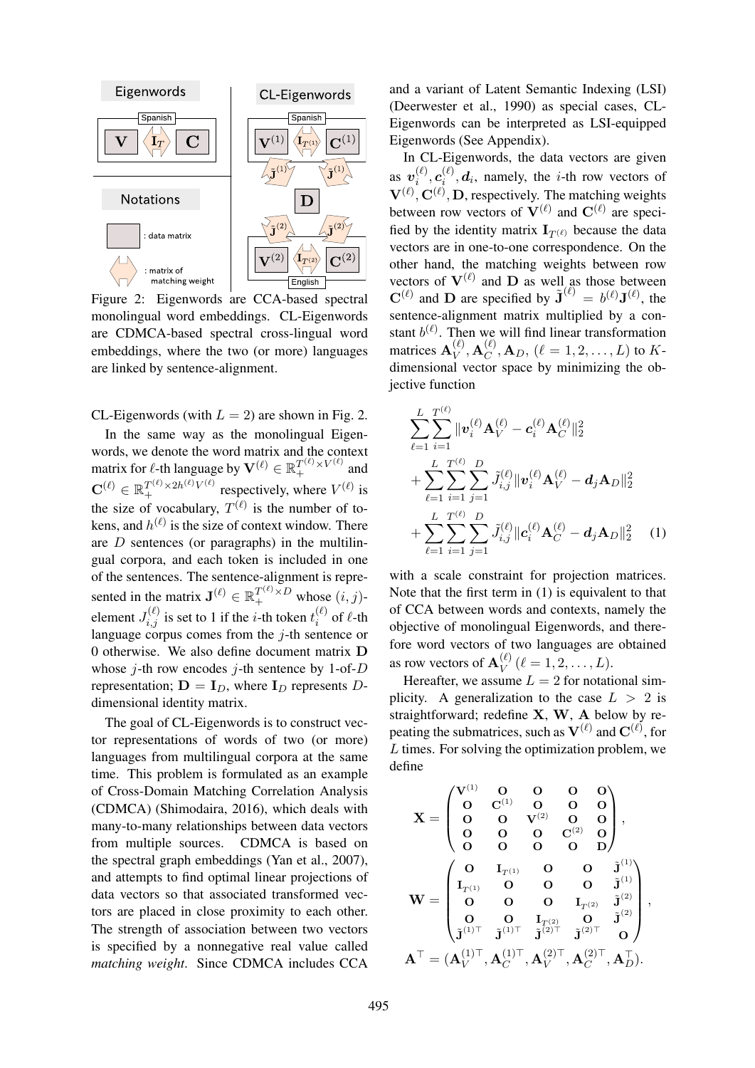

Figure 2: Eigenwords are CCA-based spectral monolingual word embeddings. CL-Eigenwords are CDMCA-based spectral cross-lingual word embeddings, where the two (or more) languages are linked by sentence-alignment.

CL-Eigenwords (with  $L = 2$ ) are shown in Fig. 2. In the same way as the monolingual Eigenwords, we denote the word matrix and the context matrix for  $\ell$ -th language by  $\mathbf{V}^{(\ell)} \in \mathbb{R}_+^{T^{(\ell)} \times V^{(\ell)}}$  and  $\mathbf{C}^{(\ell)} \in \mathbb{R}_+^{T^{(\ell)} \times 2h^{(\ell)} V^{(\ell)}}$  respectively, where  $V^{(\ell)}$  is the size of vocabulary,  $T^{(\ell)}$  is the number of tokens, and  $h^{(\ell)}$  is the size of context window. There are  $D$  sentences (or paragraphs) in the multilingual corpora, and each token is included in one

of the sentences. The sentence-alignment is represented in the matrix  $\mathbf{J}^{(\ell)} \in \mathbb{R}_+^{T^{(\ell)} \times D}$  whose  $(i, j)$ element  $J_{i,j}^{(\ell)}$  is set to 1 if the *i*-th token  $t_i^{(\ell)}$  $i^{(\ell)}$  of  $\ell$ -th language corpus comes from the  $j$ -th sentence or 0 otherwise. We also define document matrix D whose *j*-th row encodes *j*-th sentence by 1-of-D representation;  $D = I_D$ , where  $I_D$  represents Ddimensional identity matrix.

The goal of CL-Eigenwords is to construct vector representations of words of two (or more) languages from multilingual corpora at the same time. This problem is formulated as an example of Cross-Domain Matching Correlation Analysis (CDMCA) (Shimodaira, 2016), which deals with many-to-many relationships between data vectors from multiple sources. CDMCA is based on the spectral graph embeddings (Yan et al., 2007), and attempts to find optimal linear projections of data vectors so that associated transformed vectors are placed in close proximity to each other. The strength of association between two vectors is specified by a nonnegative real value called *matching weight*. Since CDMCA includes CCA and a variant of Latent Semantic Indexing (LSI) (Deerwester et al., 1990) as special cases, CL-Eigenwords can be interpreted as LSI-equipped Eigenwords (See Appendix).

In CL-Eigenwords, the data vectors are given as  $\bm{v}_i^{(\ell)}$  $\bm{c}_i^{(\ell)}, \bm{c}_i^{(\ell)}$  $i_i^{(k)}$ , d<sub>i</sub>, namely, the *i*-th row vectors of  $V^{(\ell)}, C^{(\ell)}, D$ , respectively. The matching weights between row vectors of  $V^{(\ell)}$  and  $C^{(\ell)}$  are specified by the identity matrix  $I_{T(\ell)}$  because the data vectors are in one-to-one correspondence. On the other hand, the matching weights between row vectors of  $V^{(\ell)}$  and D as well as those between  $\mathbf{C}^{(\ell)}$  and **D** are specified by  $\tilde{\mathbf{J}}^{(\ell)} = b^{(\ell)} \mathbf{J}^{(\ell)}$ , the sentence-alignment matrix multiplied by a constant  $b^{(\ell)}$ . Then we will find linear transformation matrices  $\mathbf{A}_V^{(\ell)}$  $\overset{(\ell)}{V}, \mathbf{A}^{(\ell)}_C$  $C^{(1)}_C, A_D, (\ell = 1, 2, \ldots, L)$  to Kdimensional vector space by minimizing the objective function

$$
\sum_{\ell=1}^{L} \sum_{i=1}^{T^{(\ell)}} \|\mathbf{v}_{i}^{(\ell)}\mathbf{A}_{V}^{(\ell)} - \mathbf{c}_{i}^{(\ell)}\mathbf{A}_{C}^{(\ell)}\|_{2}^{2} \n+ \sum_{\ell=1}^{L} \sum_{i=1}^{T^{(\ell)}} \sum_{j=1}^{D} \tilde{J}_{i,j}^{(\ell)} \|\mathbf{v}_{i}^{(\ell)}\mathbf{A}_{V}^{(\ell)} - \mathbf{d}_{j}\mathbf{A}_{D}\|_{2}^{2} \n+ \sum_{\ell=1}^{L} \sum_{i=1}^{T^{(\ell)}} \sum_{j=1}^{D} \tilde{J}_{i,j}^{(\ell)} \|\mathbf{c}_{i}^{(\ell)}\mathbf{A}_{C}^{(\ell)} - \mathbf{d}_{j}\mathbf{A}_{D}\|_{2}^{2} \qquad (1)
$$

with a scale constraint for projection matrices. Note that the first term in (1) is equivalent to that of CCA between words and contexts, namely the objective of monolingual Eigenwords, and therefore word vectors of two languages are obtained as row vectors of  $\mathbf{A}_V^{(\ell)}$  $V^{(\ell)}(l=1,2,\ldots,L).$ 

Hereafter, we assume  $L = 2$  for notational simplicity. A generalization to the case  $L > 2$  is straightforward; redefine X, W, A below by repeating the submatrices, such as  $V^{(\ell)}$  and  $C^{(\ell)}$ , for L times. For solving the optimization problem, we define

$$
\mathbf{X} = \begin{pmatrix} \mathbf{V}^{(1)} & \mathbf{O} & \mathbf{O} & \mathbf{O} & \mathbf{O} \\ \mathbf{O} & \mathbf{C}^{(1)} & \mathbf{O} & \mathbf{O} & \mathbf{O} \\ \mathbf{O} & \mathbf{O} & \mathbf{V}^{(2)} & \mathbf{O} & \mathbf{O} \\ \mathbf{O} & \mathbf{O} & \mathbf{O} & \mathbf{C}^{(2)} & \mathbf{O} \\ \mathbf{O} & \mathbf{O} & \mathbf{O} & \mathbf{O} & \mathbf{O} \end{pmatrix}, \\ \mathbf{W} = \begin{pmatrix} \mathbf{O} & \mathbf{I}_{T^{(1)}} & \mathbf{O} & \mathbf{O} & \mathbf{J}^{(1)} \\ \mathbf{I}_{T^{(1)}} & \mathbf{O} & \mathbf{O} & \mathbf{O} & \mathbf{J}^{(1)} \\ \mathbf{O} & \mathbf{O} & \mathbf{O} & \mathbf{I}_{T^{(2)}} & \mathbf{J}^{(2)} \\ \mathbf{O} & \mathbf{O} & \mathbf{I}_{T^{(2)}} & \mathbf{O} & \mathbf{J}^{(2)} \\ \mathbf{J}^{(1)\top} & \mathbf{J}^{(1)\top} & \mathbf{J}^{(2)\top} & \mathbf{J}^{(2)\top} & \mathbf{O} \end{pmatrix}, \\ \mathbf{A}^{\top} = (\mathbf{A}_{V}^{(1)\top}, \mathbf{A}_{C}^{(1)\top}, \mathbf{A}_{V}^{(2)\top}, \mathbf{A}_{C}^{(2)\top}, \mathbf{A}_{D}^{\top}).
$$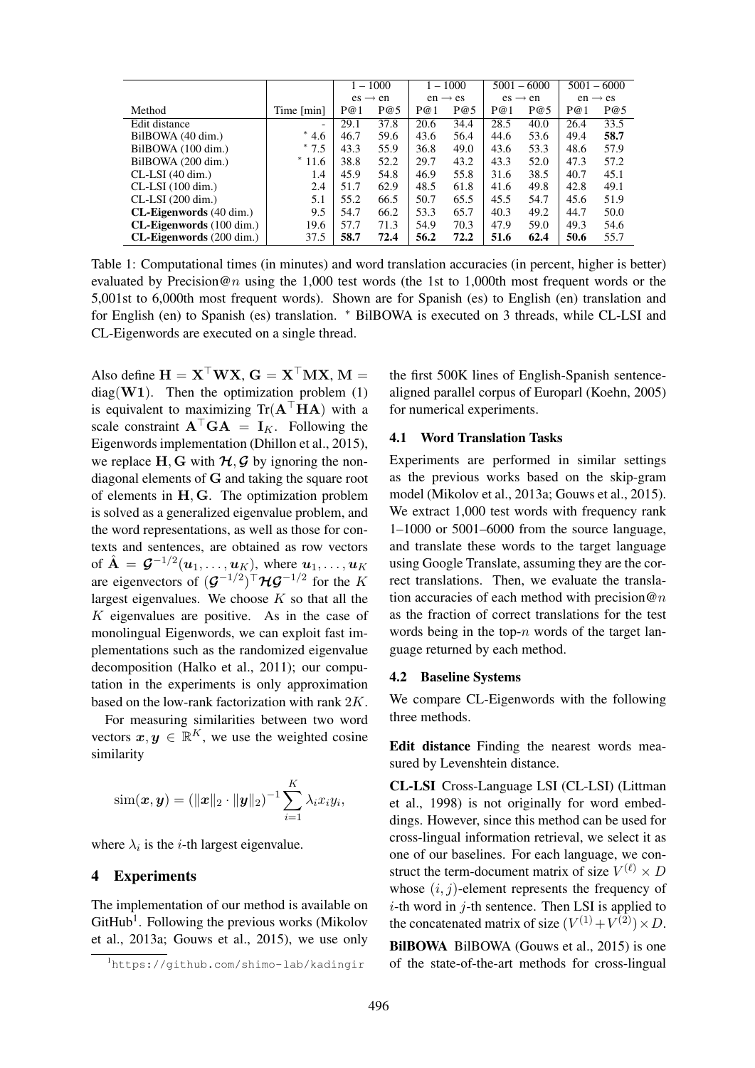|                                 |                          | $1 - 1000$          |      | $1 - 1000$          |      | $5001 - 6000$       |      | $5001 - 6000$       |      |
|---------------------------------|--------------------------|---------------------|------|---------------------|------|---------------------|------|---------------------|------|
|                                 |                          | $es \rightarrow en$ |      | $en \rightarrow es$ |      | $es \rightarrow en$ |      | $en \rightarrow es$ |      |
| Method                          | Time [min]               | P@1                 | P@5  | P@1                 | P@5  | P@1                 | P@5  | P@1                 | P@5  |
| Edit distance                   | $\overline{\phantom{a}}$ | 29.1                | 37.8 | 20.6                | 34.4 | 28.5                | 40.0 | 26.4                | 33.5 |
| BilBOWA (40 dim.)               | $*4.6$                   | 46.7                | 59.6 | 43.6                | 56.4 | 44.6                | 53.6 | 49.4                | 58.7 |
| BilBOWA (100 dim.)              | $*7.5$                   | 43.3                | 55.9 | 36.8                | 49.0 | 43.6                | 53.3 | 48.6                | 57.9 |
| BilBOWA (200 dim.)              | $*11.6$                  | 38.8                | 52.2 | 29.7                | 43.2 | 43.3                | 52.0 | 47.3                | 57.2 |
| $CL-LSI$ (40 dim.)              | 1.4                      | 45.9                | 54.8 | 46.9                | 55.8 | 31.6                | 38.5 | 40.7                | 45.1 |
| $CL-LSI$ (100 dim.)             | 2.4                      | 51.7                | 62.9 | 48.5                | 61.8 | 41.6                | 49.8 | 42.8                | 49.1 |
| $CL-LSI (200 dim.)$             | 5.1                      | 55.2                | 66.5 | 50.7                | 65.5 | 45.5                | 54.7 | 45.6                | 51.9 |
| <b>CL-Eigenwords</b> (40 dim.)  | 9.5                      | 54.7                | 66.2 | 53.3                | 65.7 | 40.3                | 49.2 | 44.7                | 50.0 |
| $CL$ -Eigenwords (100 dim.)     | 19.6                     | 57.7                | 71.3 | 54.9                | 70.3 | 47.9                | 59.0 | 49.3                | 54.6 |
| <b>CL-Eigenwords</b> (200 dim.) | 37.5                     | 58.7                | 72.4 | 56.2                | 72.2 | 51.6                | 62.4 | 50.6                | 55.7 |

Table 1: Computational times (in minutes) and word translation accuracies (in percent, higher is better) evaluated by Precision@n using the 1,000 test words (the 1st to 1,000th most frequent words or the 5,001st to 6,000th most frequent words). Shown are for Spanish (es) to English (en) translation and for English (en) to Spanish (es) translation. <sup>\*</sup> BilBOWA is executed on 3 threads, while CL-LSI and CL-Eigenwords are executed on a single thread.

Also define  $H = X^{\top}WX$ ,  $G = X^{\top}MX$ ,  $M =$  $diag(\mathbf{W1})$ . Then the optimization problem (1) is equivalent to maximizing  $Tr(A^{\top}HA)$  with a scale constraint  $A^{\top}GA = I_K$ . Following the Eigenwords implementation (Dhillon et al., 2015), we replace  $H, G$  with  $H, G$  by ignoring the nondiagonal elements of G and taking the square root of elements in H, G. The optimization problem is solved as a generalized eigenvalue problem, and the word representations, as well as those for contexts and sentences, are obtained as row vectors of  $\hat{\mathbf{A}} = \mathcal{G}^{-1/2}(\boldsymbol{u}_1, \dots, \boldsymbol{u}_K)$ , where  $\boldsymbol{u}_1, \dots, \boldsymbol{u}_K$ are eigenvectors of  $(\mathcal{G}^{-1/2})^{\top} \mathcal{H} \mathcal{G}^{-1/2}$  for the K largest eigenvalues. We choose  $K$  so that all the  $K$  eigenvalues are positive. As in the case of monolingual Eigenwords, we can exploit fast implementations such as the randomized eigenvalue decomposition (Halko et al., 2011); our computation in the experiments is only approximation based on the low-rank factorization with rank 2K.

For measuring similarities between two word vectors  $x, y \in \mathbb{R}^K$ , we use the weighted cosine similarity

$$
\text{sim}(\bm{x}, \bm{y}) = (\|\bm{x}\|_2 \cdot \|\bm{y}\|_2)^{-1} \sum_{i=1}^K \lambda_i x_i y_i,
$$

where  $\lambda_i$  is the *i*-th largest eigenvalue.

#### 4 Experiments

The implementation of our method is available on  $G$ itHub<sup>1</sup>. Following the previous works (Mikolov et al., 2013a; Gouws et al., 2015), we use only the first 500K lines of English-Spanish sentencealigned parallel corpus of Europarl (Koehn, 2005) for numerical experiments.

## 4.1 Word Translation Tasks

Experiments are performed in similar settings as the previous works based on the skip-gram model (Mikolov et al., 2013a; Gouws et al., 2015). We extract 1,000 test words with frequency rank 1–1000 or 5001–6000 from the source language, and translate these words to the target language using Google Translate, assuming they are the correct translations. Then, we evaluate the translation accuracies of each method with precision  $@n$ as the fraction of correct translations for the test words being in the top- $n$  words of the target language returned by each method.

#### 4.2 Baseline Systems

We compare CL-Eigenwords with the following three methods.

Edit distance Finding the nearest words measured by Levenshtein distance.

CL-LSI Cross-Language LSI (CL-LSI) (Littman et al., 1998) is not originally for word embeddings. However, since this method can be used for cross-lingual information retrieval, we select it as one of our baselines. For each language, we construct the term-document matrix of size  $V^{(\ell)} \times D$ whose  $(i, j)$ -element represents the frequency of  $i$ -th word in  $j$ -th sentence. Then LSI is applied to the concatenated matrix of size  $(V^{(1)} + V^{(2)}) \times D$ .

BilBOWA BilBOWA (Gouws et al., 2015) is one of the state-of-the-art methods for cross-lingual

<sup>1</sup>https://github.com/shimo-lab/kadingir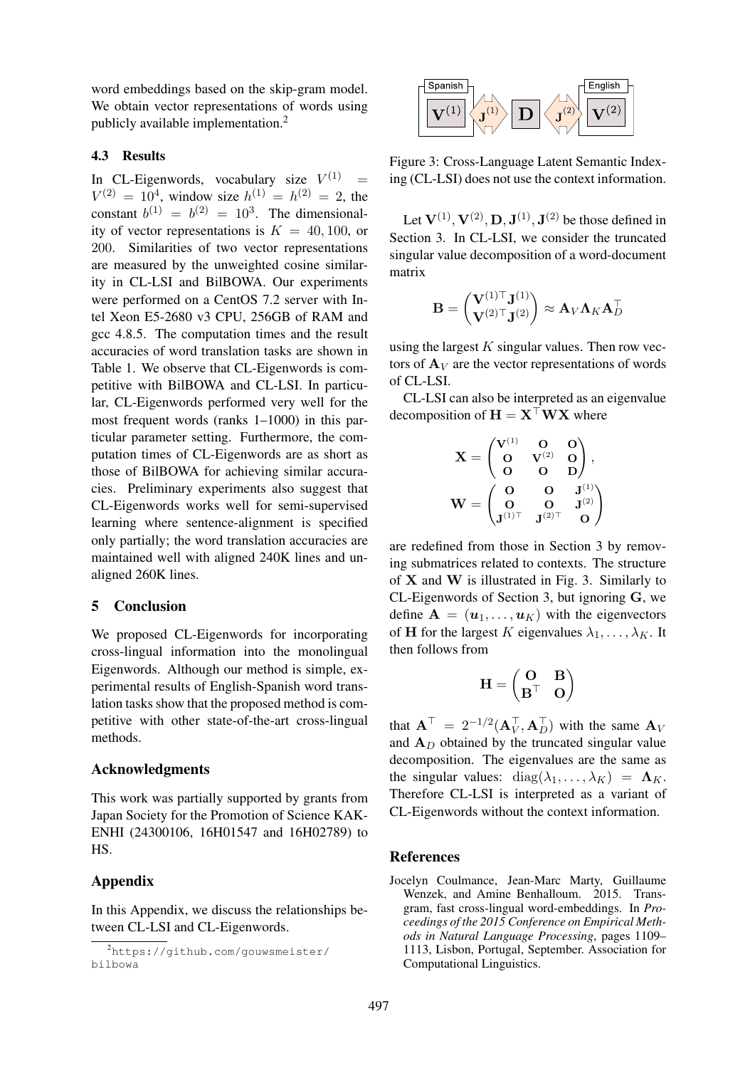word embeddings based on the skip-gram model. We obtain vector representations of words using publicly available implementation.<sup>2</sup>

#### 4.3 Results

In CL-Eigenwords, vocabulary size  $V^{(1)}$  =  $V^{(2)} = 10^4$ , window size  $h^{(1)} = h^{(2)} = 2$ , the constant  $b^{(1)} = b^{(2)} = 10^3$ . The dimensionality of vector representations is  $K = 40, 100$ , or 200. Similarities of two vector representations are measured by the unweighted cosine similarity in CL-LSI and BilBOWA. Our experiments were performed on a CentOS 7.2 server with Intel Xeon E5-2680 v3 CPU, 256GB of RAM and gcc 4.8.5. The computation times and the result accuracies of word translation tasks are shown in Table 1. We observe that CL-Eigenwords is competitive with BilBOWA and CL-LSI. In particular, CL-Eigenwords performed very well for the most frequent words (ranks 1–1000) in this particular parameter setting. Furthermore, the computation times of CL-Eigenwords are as short as those of BilBOWA for achieving similar accuracies. Preliminary experiments also suggest that CL-Eigenwords works well for semi-supervised learning where sentence-alignment is specified only partially; the word translation accuracies are maintained well with aligned 240K lines and unaligned 260K lines.

## 5 Conclusion

We proposed CL-Eigenwords for incorporating cross-lingual information into the monolingual Eigenwords. Although our method is simple, experimental results of English-Spanish word translation tasks show that the proposed method is competitive with other state-of-the-art cross-lingual methods.

#### Acknowledgments

This work was partially supported by grants from Japan Society for the Promotion of Science KAK-ENHI (24300106, 16H01547 and 16H02789) to HS.

#### Appendix

In this Appendix, we discuss the relationships between CL-LSI and CL-Eigenwords.



Figure 3: Cross-Language Latent Semantic Indexing (CL-LSI) does not use the context information.

Let  $V^{(1)}$ ,  $V^{(2)}$ , D,  $J^{(1)}$ ,  $J^{(2)}$  be those defined in Section 3. In CL-LSI, we consider the truncated singular value decomposition of a word-document matrix

$$
\mathbf{B} = \begin{pmatrix} \mathbf{V}^{(1)\top} \mathbf{J}^{(1)} \\ \mathbf{V}^{(2)\top} \mathbf{J}^{(2)} \end{pmatrix} \approx \mathbf{A}_V \mathbf{\Lambda}_K \mathbf{A}_D^\top
$$

using the largest  $K$  singular values. Then row vectors of  $A_V$  are the vector representations of words of CL-LSI.

CL-LSI can also be interpreted as an eigenvalue decomposition of  $H = X^{\top}WX$  where

$$
\mathbf{X} = \begin{pmatrix} \mathbf{V}^{(1)} & \mathbf{O} & \mathbf{O} \\ \mathbf{O} & \mathbf{V}^{(2)} & \mathbf{O} \\ \mathbf{O} & \mathbf{O} & \mathbf{D} \end{pmatrix}, \\ \mathbf{W} = \begin{pmatrix} \mathbf{O} & \mathbf{O} & \mathbf{J}^{(1)} \\ \mathbf{O} & \mathbf{O} & \mathbf{J}^{(2)} \\ \mathbf{J}^{(1)\top} & \mathbf{J}^{(2)\top} & \mathbf{O} \end{pmatrix}
$$

are redefined from those in Section 3 by removing submatrices related to contexts. The structure of  $X$  and  $W$  is illustrated in Fig. 3. Similarly to CL-Eigenwords of Section 3, but ignoring G, we define  $\mathbf{A} = (\boldsymbol{u}_1, \dots, \boldsymbol{u}_K)$  with the eigenvectors of **H** for the largest K eigenvalues  $\lambda_1, \ldots, \lambda_K$ . It then follows from

$$
\mathbf{H} = \begin{pmatrix} \mathbf{O} & \mathbf{B} \\ \mathbf{B}^\top & \mathbf{O} \end{pmatrix}
$$

that  $\mathbf{A}^{\top} = 2^{-1/2} (\mathbf{A}_{V}^{\top}, \mathbf{A}_{D}^{\top})$  with the same  $\mathbf{A}_{V}$ and  $A_D$  obtained by the truncated singular value decomposition. The eigenvalues are the same as the singular values: diag( $\lambda_1, \ldots, \lambda_K$ ) =  $\Lambda_K$ . Therefore CL-LSI is interpreted as a variant of CL-Eigenwords without the context information.

## References

Jocelyn Coulmance, Jean-Marc Marty, Guillaume Wenzek, and Amine Benhalloum. 2015. Transgram, fast cross-lingual word-embeddings. In *Proceedings of the 2015 Conference on Empirical Methods in Natural Language Processing*, pages 1109– 1113, Lisbon, Portugal, September. Association for Computational Linguistics.

<sup>2</sup>https://github.com/gouwsmeister/ bilbowa